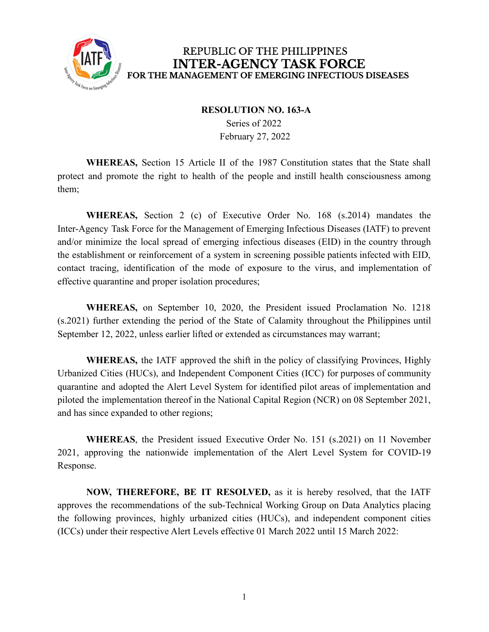

#### **RESOLUTION NO. 163-A**

Series of 2022 February 27, 2022

**WHEREAS,** Section 15 Article II of the 1987 Constitution states that the State shall protect and promote the right to health of the people and instill health consciousness among them;

**WHEREAS,** Section 2 (c) of Executive Order No. 168 (s.2014) mandates the Inter-Agency Task Force for the Management of Emerging Infectious Diseases (IATF) to prevent and/or minimize the local spread of emerging infectious diseases (EID) in the country through the establishment or reinforcement of a system in screening possible patients infected with EID, contact tracing, identification of the mode of exposure to the virus, and implementation of effective quarantine and proper isolation procedures;

**WHEREAS,** on September 10, 2020, the President issued Proclamation No. 1218 (s.2021) further extending the period of the State of Calamity throughout the Philippines until September 12, 2022, unless earlier lifted or extended as circumstances may warrant;

**WHEREAS,** the IATF approved the shift in the policy of classifying Provinces, Highly Urbanized Cities (HUCs), and Independent Component Cities (ICC) for purposes of community quarantine and adopted the Alert Level System for identified pilot areas of implementation and piloted the implementation thereof in the National Capital Region (NCR) on 08 September 2021, and has since expanded to other regions;

**WHEREAS**, the President issued Executive Order No. 151 (s.2021) on 11 November 2021, approving the nationwide implementation of the Alert Level System for COVID-19 Response.

**NOW, THEREFORE, BE IT RESOLVED,** as it is hereby resolved, that the IATF approves the recommendations of the sub-Technical Working Group on Data Analytics placing the following provinces, highly urbanized cities (HUCs), and independent component cities (ICCs) under their respective Alert Levels effective 01 March 2022 until 15 March 2022: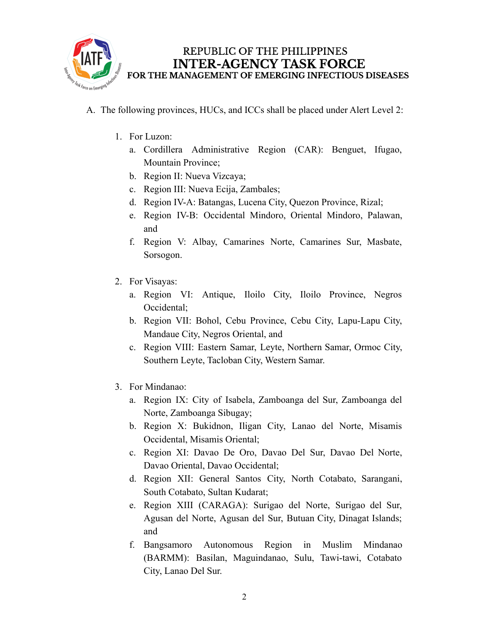

- A. The following provinces, HUCs, and ICCs shall be placed under Alert Level 2:
	- 1. For Luzon:
		- a. Cordillera Administrative Region (CAR): Benguet, Ifugao, Mountain Province;
		- b. Region II: Nueva Vizcaya;
		- c. Region III: Nueva Ecija, Zambales;
		- d. Region IV-A: Batangas, Lucena City, Quezon Province, Rizal;
		- e. Region IV-B: Occidental Mindoro, Oriental Mindoro, Palawan, and
		- f. Region V: Albay, Camarines Norte, Camarines Sur, Masbate, Sorsogon.
	- 2. For Visayas:
		- a. Region VI: Antique, Iloilo City, Iloilo Province, Negros Occidental;
		- b. Region VII: Bohol, Cebu Province, Cebu City, Lapu-Lapu City, Mandaue City, Negros Oriental, and
		- c. Region VIII: Eastern Samar, Leyte, Northern Samar, Ormoc City, Southern Leyte, Tacloban City, Western Samar.
	- 3. For Mindanao:
		- a. Region IX: City of Isabela, Zamboanga del Sur, Zamboanga del Norte, Zamboanga Sibugay;
		- b. Region X: Bukidnon, Iligan City, Lanao del Norte, Misamis Occidental, Misamis Oriental;
		- c. Region XI: Davao De Oro, Davao Del Sur, Davao Del Norte, Davao Oriental, Davao Occidental;
		- d. Region XII: General Santos City, North Cotabato, Sarangani, South Cotabato, Sultan Kudarat;
		- e. Region XIII (CARAGA): Surigao del Norte, Surigao del Sur, Agusan del Norte, Agusan del Sur, Butuan City, Dinagat Islands; and
		- f. Bangsamoro Autonomous Region in Muslim Mindanao (BARMM): Basilan, Maguindanao, Sulu, Tawi-tawi, Cotabato City, Lanao Del Sur.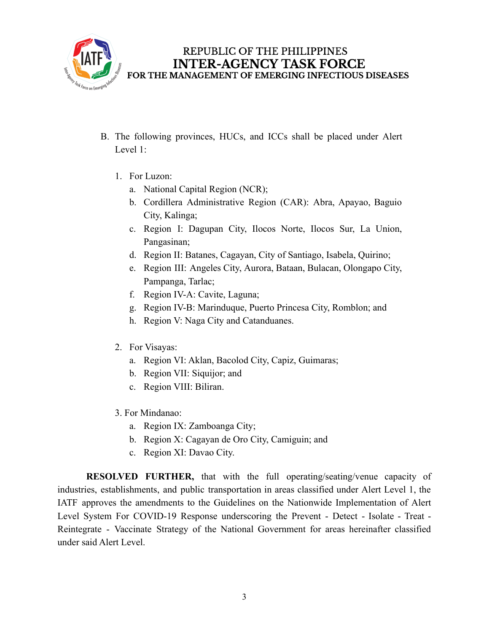

- B. The following provinces, HUCs, and ICCs shall be placed under Alert Level 1:
	- 1. For Luzon:
		- a. National Capital Region (NCR);
		- b. Cordillera Administrative Region (CAR): Abra, Apayao, Baguio City, Kalinga;
		- c. Region I: Dagupan City, Ilocos Norte, Ilocos Sur, La Union, Pangasinan;
		- d. Region II: Batanes, Cagayan, City of Santiago, Isabela, Quirino;
		- e. Region III: Angeles City, Aurora, Bataan, Bulacan, Olongapo City, Pampanga, Tarlac;
		- f. Region IV-A: Cavite, Laguna;
		- g. Region IV-B: Marinduque, Puerto Princesa City, Romblon; and
		- h. Region V: Naga City and Catanduanes.
	- 2. For Visayas:
		- a. Region VI: Aklan, Bacolod City, Capiz, Guimaras;
		- b. Region VII: Siquijor; and
		- c. Region VIII: Biliran.
	- 3. For Mindanao:
		- a. Region IX: Zamboanga City;
		- b. Region X: Cagayan de Oro City, Camiguin; and
		- c. Region XI: Davao City.

**RESOLVED FURTHER,** that with the full operating/seating/venue capacity of industries, establishments, and public transportation in areas classified under Alert Level 1, the IATF approves the amendments to the Guidelines on the Nationwide Implementation of Alert Level System For COVID-19 Response underscoring the Prevent - Detect - Isolate - Treat - Reintegrate - Vaccinate Strategy of the National Government for areas hereinafter classified under said Alert Level.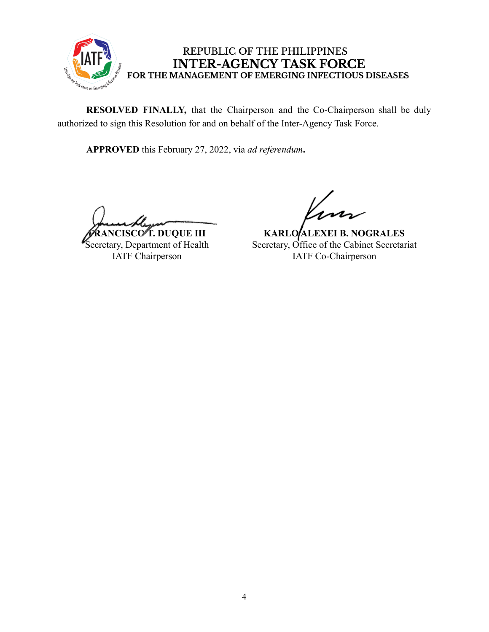

**RESOLVED FINALLY,** that the Chairperson and the Co-Chairperson shall be duly authorized to sign this Resolution for and on behalf of the Inter-Agency Task Force.

**APPROVED** this February 27, 2022, via *ad referendum***.**

**FRANCISCO T. DUQUE III** Secretary, Department of Health IATF Chairperson

**KARLO ALEXEI B. NOGRALES** Secretary, Office of the Cabinet Secretariat IATF Co-Chairperson